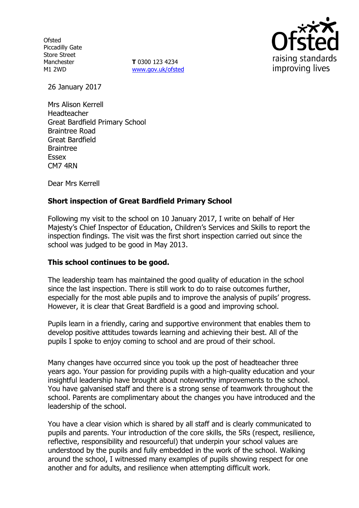**Ofsted** Piccadilly Gate Store Street Manchester M1 2WD

**T** 0300 123 4234 www.gov.uk/ofsted



26 January 2017

Mrs Alison Kerrell Headteacher Great Bardfield Primary School Braintree Road Great Bardfield Braintree Essex CM7 4RN

Dear Mrs Kerrell

# **Short inspection of Great Bardfield Primary School**

Following my visit to the school on 10 January 2017, I write on behalf of Her Majesty's Chief Inspector of Education, Children's Services and Skills to report the inspection findings. The visit was the first short inspection carried out since the school was judged to be good in May 2013.

## **This school continues to be good.**

The leadership team has maintained the good quality of education in the school since the last inspection. There is still work to do to raise outcomes further, especially for the most able pupils and to improve the analysis of pupils' progress. However, it is clear that Great Bardfield is a good and improving school.

Pupils learn in a friendly, caring and supportive environment that enables them to develop positive attitudes towards learning and achieving their best. All of the pupils I spoke to enjoy coming to school and are proud of their school.

Many changes have occurred since you took up the post of headteacher three years ago. Your passion for providing pupils with a high-quality education and your insightful leadership have brought about noteworthy improvements to the school. You have galvanised staff and there is a strong sense of teamwork throughout the school. Parents are complimentary about the changes you have introduced and the leadership of the school.

You have a clear vision which is shared by all staff and is clearly communicated to pupils and parents. Your introduction of the core skills, the 5Rs (respect, resilience, reflective, responsibility and resourceful) that underpin your school values are understood by the pupils and fully embedded in the work of the school. Walking around the school, I witnessed many examples of pupils showing respect for one another and for adults, and resilience when attempting difficult work.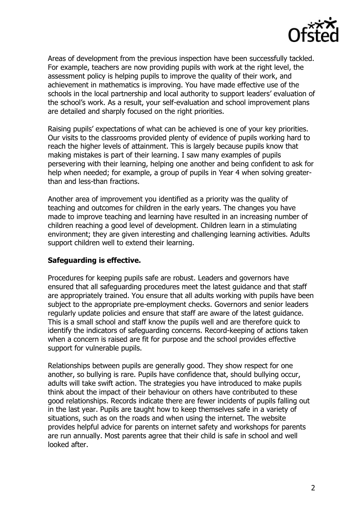

Areas of development from the previous inspection have been successfully tackled. For example, teachers are now providing pupils with work at the right level, the assessment policy is helping pupils to improve the quality of their work, and achievement in mathematics is improving. You have made effective use of the schools in the local partnership and local authority to support leaders' evaluation of the school's work. As a result, your self-evaluation and school improvement plans are detailed and sharply focused on the right priorities.

Raising pupils' expectations of what can be achieved is one of your key priorities. Our visits to the classrooms provided plenty of evidence of pupils working hard to reach the higher levels of attainment. This is largely because pupils know that making mistakes is part of their learning. I saw many examples of pupils persevering with their learning, helping one another and being confident to ask for help when needed; for example, a group of pupils in Year 4 when solving greaterthan and less-than fractions.

Another area of improvement you identified as a priority was the quality of teaching and outcomes for children in the early years. The changes you have made to improve teaching and learning have resulted in an increasing number of children reaching a good level of development. Children learn in a stimulating environment; they are given interesting and challenging learning activities. Adults support children well to extend their learning.

## **Safeguarding is effective.**

Procedures for keeping pupils safe are robust. Leaders and governors have ensured that all safeguarding procedures meet the latest guidance and that staff are appropriately trained. You ensure that all adults working with pupils have been subject to the appropriate pre-employment checks. Governors and senior leaders regularly update policies and ensure that staff are aware of the latest guidance. This is a small school and staff know the pupils well and are therefore quick to identify the indicators of safeguarding concerns. Record-keeping of actions taken when a concern is raised are fit for purpose and the school provides effective support for vulnerable pupils.

Relationships between pupils are generally good. They show respect for one another, so bullying is rare. Pupils have confidence that, should bullying occur, adults will take swift action. The strategies you have introduced to make pupils think about the impact of their behaviour on others have contributed to these good relationships. Records indicate there are fewer incidents of pupils falling out in the last year. Pupils are taught how to keep themselves safe in a variety of situations, such as on the roads and when using the internet. The website provides helpful advice for parents on internet safety and workshops for parents are run annually. Most parents agree that their child is safe in school and well looked after.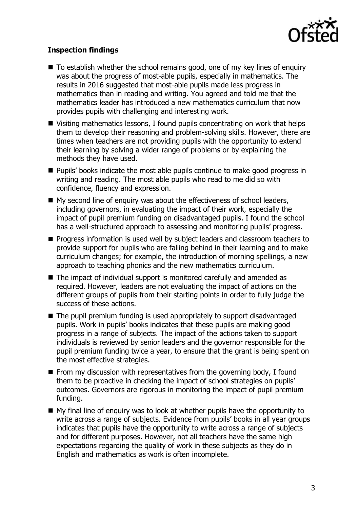

# **Inspection findings**

- To establish whether the school remains good, one of my key lines of enquiry was about the progress of most-able pupils, especially in mathematics. The results in 2016 suggested that most-able pupils made less progress in mathematics than in reading and writing. You agreed and told me that the mathematics leader has introduced a new mathematics curriculum that now provides pupils with challenging and interesting work.
- Visiting mathematics lessons, I found pupils concentrating on work that helps them to develop their reasoning and problem-solving skills. However, there are times when teachers are not providing pupils with the opportunity to extend their learning by solving a wider range of problems or by explaining the methods they have used.
- **Pupils' books indicate the most able pupils continue to make good progress in** writing and reading. The most able pupils who read to me did so with confidence, fluency and expression.
- $\blacksquare$  My second line of enquiry was about the effectiveness of school leaders, including governors, in evaluating the impact of their work, especially the impact of pupil premium funding on disadvantaged pupils. I found the school has a well-structured approach to assessing and monitoring pupils' progress.
- **Progress information is used well by subject leaders and classroom teachers to** provide support for pupils who are falling behind in their learning and to make curriculum changes; for example, the introduction of morning spellings, a new approach to teaching phonics and the new mathematics curriculum.
- The impact of individual support is monitored carefully and amended as required. However, leaders are not evaluating the impact of actions on the different groups of pupils from their starting points in order to fully judge the success of these actions.
- The pupil premium funding is used appropriately to support disadvantaged pupils. Work in pupils' books indicates that these pupils are making good progress in a range of subjects. The impact of the actions taken to support individuals is reviewed by senior leaders and the governor responsible for the pupil premium funding twice a year, to ensure that the grant is being spent on the most effective strategies.
- $\blacksquare$  From my discussion with representatives from the governing body, I found them to be proactive in checking the impact of school strategies on pupils' outcomes. Governors are rigorous in monitoring the impact of pupil premium funding.
- $\blacksquare$  My final line of enquiry was to look at whether pupils have the opportunity to write across a range of subjects. Evidence from pupils' books in all year groups indicates that pupils have the opportunity to write across a range of subjects and for different purposes. However, not all teachers have the same high expectations regarding the quality of work in these subjects as they do in English and mathematics as work is often incomplete.